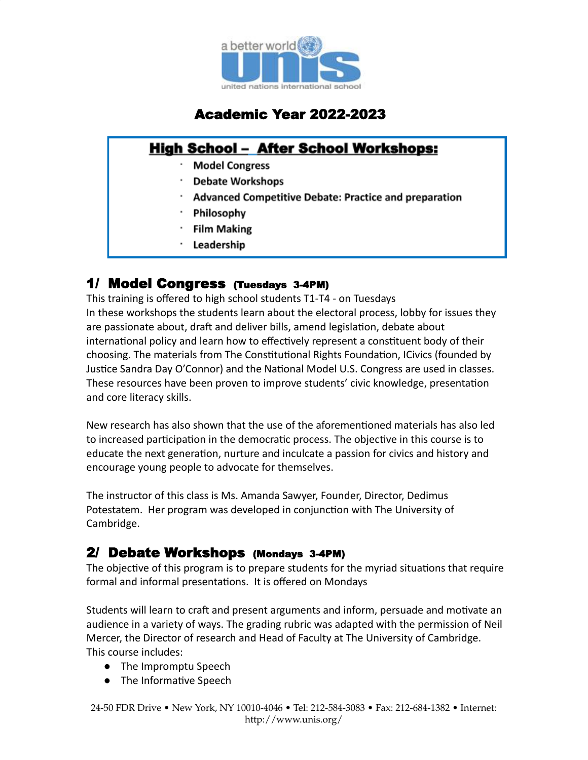

# Academic Year 2022-2023

## **High School - After School Workshops:**

- **Model Congress**
- **Debate Workshops**
- **Advanced Competitive Debate: Practice and preparation**
- Philosophy
- **Film Making**
- Leadership

#### 1/ Model Congress (Tuesdays 3-4PM)

This training is offered to high school students T1-T4 - on Tuesdays In these workshops the students learn about the electoral process, lobby for issues they are passionate about, draft and deliver bills, amend legislation, debate about international policy and learn how to effectively represent a constituent body of their choosing. The materials from The Constitutional Rights Foundation, ICivics (founded by Justice Sandra Day O'Connor) and the National Model U.S. Congress are used in classes. These resources have been proven to improve students' civic knowledge, presentation and core literacy skills.

New research has also shown that the use of the aforementioned materials has also led to increased participation in the democratic process. The objective in this course is to educate the next generation, nurture and inculcate a passion for civics and history and encourage young people to advocate for themselves.

The instructor of this class is Ms. Amanda Sawyer, Founder, Director, Dedimus Potestatem. Her program was developed in conjunction with The University of Cambridge.

#### 2/ Debate Workshops (Mondays 3-4PM)

The objective of this program is to prepare students for the myriad situations that require formal and informal presentations. It is offered on Mondays

Students will learn to craft and present arguments and inform, persuade and motivate an audience in a variety of ways. The grading rubric was adapted with the permission of Neil Mercer, the Director of research and Head of Faculty at The University of Cambridge. This course includes:

- The Impromptu Speech
- The Informative Speech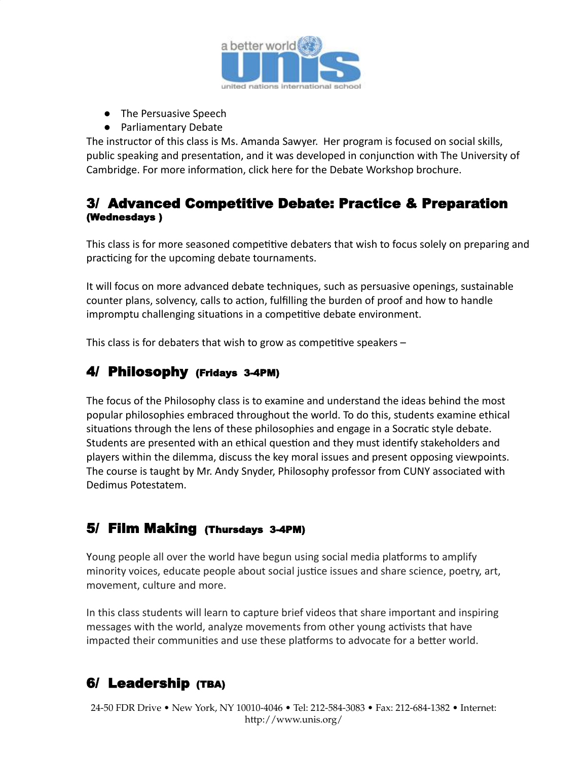

- The Persuasive Speech
- Parliamentary Debate

The instructor of this class is Ms. Amanda Sawyer. Her program is focused on social skills, public speaking and presentation, and it was developed in conjunction with The University of Cambridge. For more information, click here for the [Debate Workshop brochure.](https://www.unis.org/fs/resource-manager/view/941172c5-6333-4b07-bfb9-056172aa3cfb)

#### 3/ Advanced Competitive Debate: Practice & Preparation (Wednesdays )

This class is for more seasoned competitive debaters that wish to focus solely on preparing and practicing for the upcoming debate tournaments.

It will focus on more advanced debate techniques, such as persuasive openings, sustainable counter plans, solvency, calls to action, fulfilling the burden of proof and how to handle impromptu challenging situations in a competitive debate environment.

This class is for debaters that wish to grow as competitive speakers  $-$ 

### 4/ Philosophy (Fridays 3-4PM)

The focus of the Philosophy class is to examine and understand the ideas behind the most popular philosophies embraced throughout the world. To do this, students examine ethical situations through the lens of these philosophies and engage in a Socratic style debate. Students are presented with an ethical question and they must identify stakeholders and players within the dilemma, discuss the key moral issues and present opposing viewpoints. The course is taught by Mr. Andy Snyder, Philosophy professor from CUNY associated with Dedimus Potestatem.

#### 5/ Film Making (Thursdays 3-4PM)

Young people all over the world have begun using social media platforms to amplify minority voices, educate people about social justice issues and share science, poetry, art, movement, culture and more.

In this class students will learn to capture brief videos that share important and inspiring messages with the world, analyze movements from other young activists that have impacted their communities and use these platforms to advocate for a better world.

## 6/ Leadership (TBA)